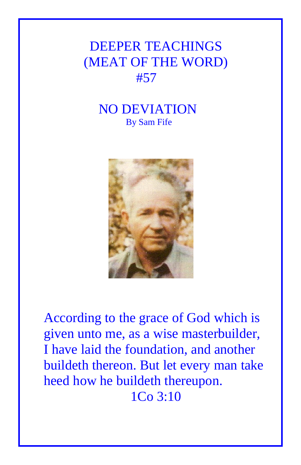## DEEPER TEACHINGS (MEAT OF THE WORD) #57

## NO DEVIATION By Sam Fife



According to the grace of God which is given unto me, as a wise masterbuilder, I have laid the foundation, and another buildeth thereon. But let every man take heed how he buildeth thereupon. 1Co 3:10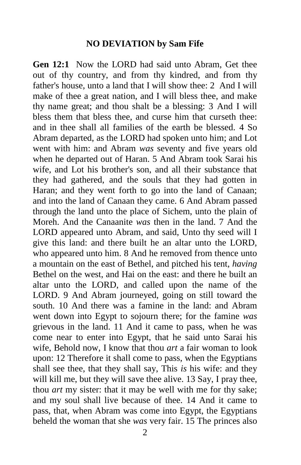## **NO DEVIATION by Sam Fife**

**Gen 12:1** Now the LORD had said unto Abram, Get thee out of thy country, and from thy kindred, and from thy father's house, unto a land that I will show thee: 2 And I will make of thee a great nation, and I will bless thee, and make thy name great; and thou shalt be a blessing: 3 And I will bless them that bless thee, and curse him that curseth thee: and in thee shall all families of the earth be blessed. 4 So Abram departed, as the LORD had spoken unto him; and Lot went with him: and Abram *was* seventy and five years old when he departed out of Haran. 5 And Abram took Sarai his wife, and Lot his brother's son, and all their substance that they had gathered, and the souls that they had gotten in Haran; and they went forth to go into the land of Canaan; and into the land of Canaan they came. 6 And Abram passed through the land unto the place of Sichem, unto the plain of Moreh. And the Canaanite *was* then in the land. 7 And the LORD appeared unto Abram, and said, Unto thy seed will I give this land: and there built he an altar unto the LORD, who appeared unto him. 8 And he removed from thence unto a mountain on the east of Bethel, and pitched his tent, *having* Bethel on the west, and Hai on the east: and there he built an altar unto the LORD, and called upon the name of the LORD. 9 And Abram journeyed, going on still toward the south. 10 And there was a famine in the land: and Abram went down into Egypt to sojourn there; for the famine *was* grievous in the land. 11 And it came to pass, when he was come near to enter into Egypt, that he said unto Sarai his wife, Behold now, I know that thou *art* a fair woman to look upon: 12 Therefore it shall come to pass, when the Egyptians shall see thee, that they shall say, This *is* his wife: and they will kill me, but they will save thee alive. 13 Say, I pray thee, thou *art* my sister: that it may be well with me for thy sake; and my soul shall live because of thee. 14 And it came to pass, that, when Abram was come into Egypt, the Egyptians beheld the woman that she *was* very fair. 15 The princes also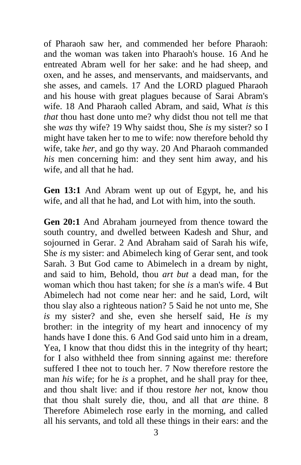of Pharaoh saw her, and commended her before Pharaoh: and the woman was taken into Pharaoh's house. 16 And he entreated Abram well for her sake: and he had sheep, and oxen, and he asses, and menservants, and maidservants, and she asses, and camels. 17 And the LORD plagued Pharaoh and his house with great plagues because of Sarai Abram's wife. 18 And Pharaoh called Abram, and said, What *is* this *that* thou hast done unto me? why didst thou not tell me that she *was* thy wife? 19 Why saidst thou, She *is* my sister? so I might have taken her to me to wife: now therefore behold thy wife, take *her*, and go thy way. 20 And Pharaoh commanded *his* men concerning him: and they sent him away, and his wife, and all that he had.

**Gen 13:1** And Abram went up out of Egypt, he, and his wife, and all that he had, and Lot with him, into the south.

**Gen 20:1** And Abraham journeyed from thence toward the south country, and dwelled between Kadesh and Shur, and sojourned in Gerar. 2 And Abraham said of Sarah his wife, She *is* my sister: and Abimelech king of Gerar sent, and took Sarah. 3 But God came to Abimelech in a dream by night, and said to him, Behold, thou *art but* a dead man, for the woman which thou hast taken; for she *is* a man's wife. 4 But Abimelech had not come near her: and he said, Lord, wilt thou slay also a righteous nation? 5 Said he not unto me, She *is* my sister? and she, even she herself said, He *is* my brother: in the integrity of my heart and innocency of my hands have I done this, 6 And God said unto him in a dream. Yea, I know that thou didst this in the integrity of thy heart; for I also withheld thee from sinning against me: therefore suffered I thee not to touch her. 7 Now therefore restore the man *his* wife; for he *is* a prophet, and he shall pray for thee, and thou shalt live: and if thou restore *her* not, know thou that thou shalt surely die, thou, and all that *are* thine. 8 Therefore Abimelech rose early in the morning, and called all his servants, and told all these things in their ears: and the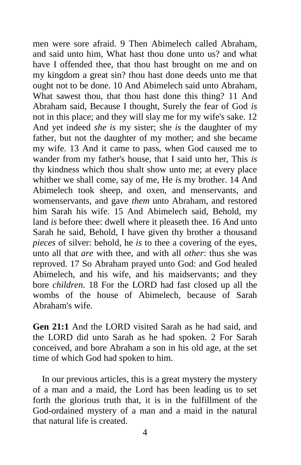men were sore afraid. 9 Then Abimelech called Abraham, and said unto him, What hast thou done unto us? and what have I offended thee, that thou hast brought on me and on my kingdom a great sin? thou hast done deeds unto me that ought not to be done. 10 And Abimelech said unto Abraham, What sawest thou, that thou hast done this thing? 11 And Abraham said, Because I thought, Surely the fear of God *is* not in this place; and they will slay me for my wife's sake. 12 And yet indeed *she is* my sister; she *is* the daughter of my father, but not the daughter of my mother; and she became my wife. 13 And it came to pass, when God caused me to wander from my father's house, that I said unto her, This *is* thy kindness which thou shalt show unto me; at every place whither we shall come, say of me, He *is* my brother. 14 And Abimelech took sheep, and oxen, and menservants, and womenservants, and gave *them* unto Abraham, and restored him Sarah his wife. 15 And Abimelech said, Behold, my land *is* before thee: dwell where it pleaseth thee. 16 And unto Sarah he said, Behold, I have given thy brother a thousand *pieces* of silver: behold, he *is* to thee a covering of the eyes, unto all that *are* with thee, and with all *other*: thus she was reproved. 17 So Abraham prayed unto God: and God healed Abimelech, and his wife, and his maidservants; and they bore *children*. 18 For the LORD had fast closed up all the wombs of the house of Abimelech, because of Sarah Abraham's wife.

**Gen 21:1** And the LORD visited Sarah as he had said, and the LORD did unto Sarah as he had spoken. 2 For Sarah conceived, and bore Abraham a son in his old age, at the set time of which God had spoken to him.

 In our previous articles, this is a great mystery the mystery of a man and a maid, the Lord has been leading us to set forth the glorious truth that, it is in the fulfillment of the God-ordained mystery of a man and a maid in the natural that natural life is created.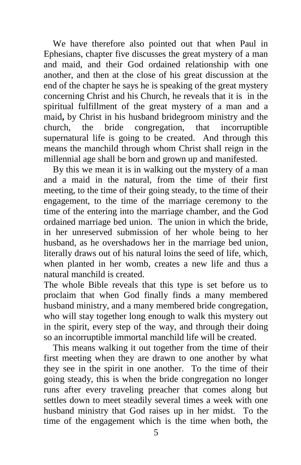We have therefore also pointed out that when Paul in Ephesians, chapter five discusses the great mystery of a man and maid, and their God ordained relationship with one another, and then at the close of his great discussion at the end of the chapter he says he is speaking of the great mystery concerning Christ and his Church, he reveals that it is in the spiritual fulfillment of the great mystery of a man and a maid**,** by Christ in his husband bridegroom ministry and the church, the bride congregation, that incorruptible supernatural life is going to be created. And through this means the manchild through whom Christ shall reign in the millennial age shall be born and grown up and manifested.

 By this we mean it is in walking out the mystery of a man and a maid in the natural, from the time of their first meeting, to the time of their going steady, to the time of their engagement, to the time of the marriage ceremony to the time of the entering into the marriage chamber, and the God ordained marriage bed union. The union in which the bride, in her unreserved submission of her whole being to her husband, as he overshadows her in the marriage bed union, literally draws out of his natural loins the seed of life, which, when planted in her womb, creates a new life and thus a natural manchild is created.

The whole Bible reveals that this type is set before us to proclaim that when God finally finds a many membered husband ministry, and a many membered bride congregation, who will stay together long enough to walk this mystery out in the spirit, every step of the way, and through their doing so an incorruptible immortal manchild life will be created.

 This means walking it out together from the time of their first meeting when they are drawn to one another by what they see in the spirit in one another. To the time of their going steady, this is when the bride congregation no longer runs after every traveling preacher that comes along but settles down to meet steadily several times a week with one husband ministry that God raises up in her midst. To the time of the engagement which is the time when both, the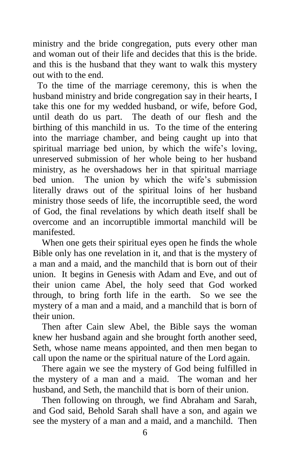ministry and the bride congregation, puts every other man and woman out of their life and decides that this is the bride. and this is the husband that they want to walk this mystery out with to the end.

 To the time of the marriage ceremony, this is when the husband ministry and bride congregation say in their hearts, I take this one for my wedded husband, or wife, before God, until death do us part. The death of our flesh and the birthing of this manchild in us. To the time of the entering into the marriage chamber, and being caught up into that spiritual marriage bed union, by which the wife's loving, unreserved submission of her whole being to her husband ministry, as he overshadows her in that spiritual marriage bed union. The union by which the wife's submission literally draws out of the spiritual loins of her husband ministry those seeds of life, the incorruptible seed, the word of God, the final revelations by which death itself shall be overcome and an incorruptible immortal manchild will be manifested.

When one gets their spiritual eyes open he finds the whole Bible only has one revelation in it, and that is the mystery of a man and a maid, and the manchild that is born out of their union. It begins in Genesis with Adam and Eve, and out of their union came Abel, the holy seed that God worked through, to bring forth life in the earth. So we see the mystery of a man and a maid, and a manchild that is born of their union.

 Then after Cain slew Abel, the Bible says the woman knew her husband again and she brought forth another seed, Seth, whose name means appointed, and then men began to call upon the name or the spiritual nature of the Lord again.

 There again we see the mystery of God being fulfilled in the mystery of a man and a maid. The woman and her husband, and Seth, the manchild that is born of their union.

 Then following on through, we find Abraham and Sarah, and God said, Behold Sarah shall have a son, and again we see the mystery of a man and a maid, and a manchild. Then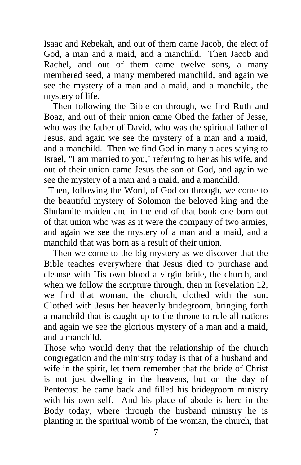Isaac and Rebekah, and out of them came Jacob, the elect of God, a man and a maid, and a manchild. Then Jacob and Rachel, and out of them came twelve sons, a many membered seed, a many membered manchild, and again we see the mystery of a man and a maid, and a manchild, the mystery of life.

 Then following the Bible on through, we find Ruth and Boaz, and out of their union came Obed the father of Jesse, who was the father of David, who was the spiritual father of Jesus, and again we see the mystery of a man and a maid, and a manchild. Then we find God in many places saying to Israel, "I am married to you," referring to her as his wife, and out of their union came Jesus the son of God, and again we see the mystery of a man and a maid, and a manchild.

 Then, following the Word, of God on through, we come to the beautiful mystery of Solomon the beloved king and the Shulamite maiden and in the end of that book one born out of that union who was as it were the company of two armies, and again we see the mystery of a man and a maid, and a manchild that was born as a result of their union.

 Then we come to the big mystery as we discover that the Bible teaches everywhere that Jesus died to purchase and cleanse with His own blood a virgin bride, the church, and when we follow the scripture through, then in Revelation 12, we find that woman, the church, clothed with the sun. Clothed with Jesus her heavenly bridegroom, bringing forth a manchild that is caught up to the throne to rule all nations and again we see the glorious mystery of a man and a maid, and a manchild.

Those who would deny that the relationship of the church congregation and the ministry today is that of a husband and wife in the spirit, let them remember that the bride of Christ is not just dwelling in the heavens, but on the day of Pentecost he came back and filled his bridegroom ministry with his own self. And his place of abode is here in the Body today, where through the husband ministry he is planting in the spiritual womb of the woman, the church, that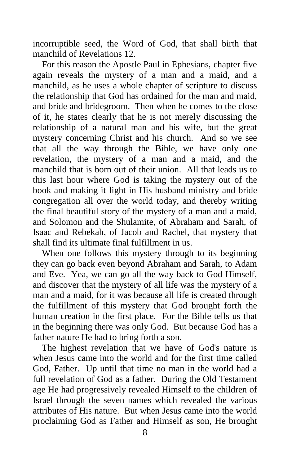incorruptible seed, the Word of God, that shall birth that manchild of Revelations 12.

 For this reason the Apostle Paul in Ephesians, chapter five again reveals the mystery of a man and a maid, and a manchild, as he uses a whole chapter of scripture to discuss the relationship that God has ordained for the man and maid, and bride and bridegroom. Then when he comes to the close of it, he states clearly that he is not merely discussing the relationship of a natural man and his wife, but the great mystery concerning Christ and his church. And so we see that all the way through the Bible, we have only one revelation, the mystery of a man and a maid, and the manchild that is born out of their union. All that leads us to this last hour where God is taking the mystery out of the book and making it light in His husband ministry and bride congregation all over the world today, and thereby writing the final beautiful story of the mystery of a man and a maid, and Solomon and the Shulamite, of Abraham and Sarah, of Isaac and Rebekah, of Jacob and Rachel, that mystery that shall find its ultimate final fulfillment in us.

 When one follows this mystery through to its beginning they can go back even beyond Abraham and Sarah, to Adam and Eve. Yea, we can go all the way back to God Himself, and discover that the mystery of all life was the mystery of a man and a maid, for it was because all life is created through the fulfillment of this mystery that God brought forth the human creation in the first place. For the Bible tells us that in the beginning there was only God. But because God has a father nature He had to bring forth a son.

 The highest revelation that we have of God's nature is when Jesus came into the world and for the first time called God, Father. Up until that time no man in the world had a full revelation of God as a father. During the Old Testament age He had progressively revealed Himself to the children of Israel through the seven names which revealed the various attributes of His nature. But when Jesus came into the world proclaiming God as Father and Himself as son, He brought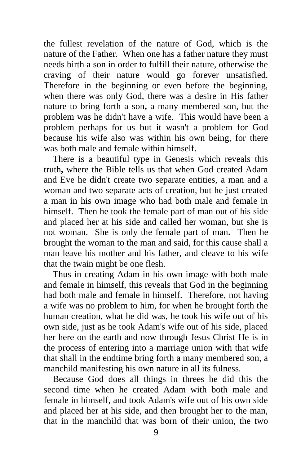the fullest revelation of the nature of God, which is the nature of the Father. When one has a father nature they must needs birth a son in order to fulfill their nature, otherwise the craving of their nature would go forever unsatisfied. Therefore in the beginning or even before the beginning, when there was only God, there was a desire in His father nature to bring forth a son**,** a many membered son, but the problem was he didn't have a wife. This would have been a problem perhaps for us but it wasn't a problem for God because his wife also was within his own being, for there was both male and female within himself.

 There is a beautiful type in Genesis which reveals this truth**,** where the Bible tells us that when God created Adam and Eve he didn't create two separate entities, a man and a woman and two separate acts of creation, but he just created a man in his own image who had both male and female in himself. Then he took the female part of man out of his side and placed her at his side and called her woman, but she is not woman. She is only the female part of man**.** Then he brought the woman to the man and said, for this cause shall a man leave his mother and his father, and cleave to his wife that the twain might be one flesh.

 Thus in creating Adam in his own image with both male and female in himself, this reveals that God in the beginning had both male and female in himself. Therefore, not having a wife was no problem to him, for when he brought forth the human creation, what he did was, he took his wife out of his own side, just as he took Adam's wife out of his side, placed her here on the earth and now through Jesus Christ He is in the process of entering into a marriage union with that wife that shall in the endtime bring forth a many membered son, a manchild manifesting his own nature in all its fulness.

 Because God does all things in threes he did this the second time when he created Adam with both male and female in himself, and took Adam's wife out of his own side and placed her at his side, and then brought her to the man, that in the manchild that was born of their union, the two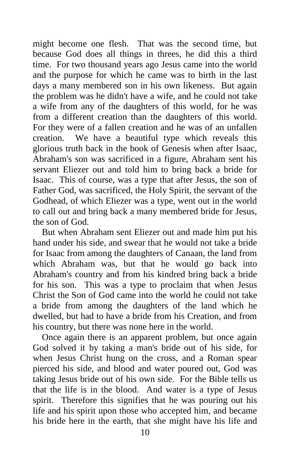might become one flesh. That was the second time, but because God does all things in threes, he did this a third time. For two thousand years ago Jesus came into the world and the purpose for which he came was to birth in the last days a many membered son in his own likeness. But again the problem was he didn't have a wife, and he could not take a wife from any of the daughters of this world, for he was from a different creation than the daughters of this world. For they were of a fallen creation and he was of an unfallen creation. We have a beautiful type which reveals this glorious truth back in the book of Genesis when after Isaac, Abraham's son was sacrificed in a figure, Abraham sent his servant Eliezer out and told him to bring back a bride for Isaac. This of course, was a type that after Jesus, the son of Father God, was sacrificed, the Holy Spirit, the servant of the Godhead, of which Eliezer was a type, went out in the world to call out and bring back a many membered bride for Jesus, the son of God.

 But when Abraham sent Eliezer out and made him put his hand under his side, and swear that he would not take a bride for Isaac from among the daughters of Canaan, the land from which Abraham was, but that he would go back into Abraham's country and from his kindred bring back a bride for his son. This was a type to proclaim that when Jesus Christ the Son of God came into the world he could not take a bride from among the daughters of the land which he dwelled, but had to have a bride from his Creation, and from his country, but there was none here in the world.

 Once again there is an apparent problem, but once again God solved it by taking a man's bride out of his side, for when Jesus Christ hung on the cross, and a Roman spear pierced his side, and blood and water poured out, God was taking Jesus bride out of his own side. For the Bible tells us that the life is in the blood. And water is a type of Jesus spirit. Therefore this signifies that he was pouring out his life and his spirit upon those who accepted him, and became his bride here in the earth, that she might have his life and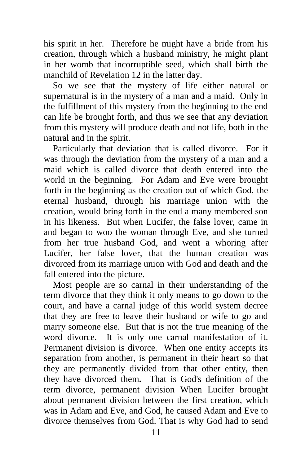his spirit in her. Therefore he might have a bride from his creation, through which a husband ministry, he might plant in her womb that incorruptible seed, which shall birth the manchild of Revelation 12 in the latter day.

 So we see that the mystery of life either natural or supernatural is in the mystery of a man and a maid. Only in the fulfillment of this mystery from the beginning to the end can life be brought forth, and thus we see that any deviation from this mystery will produce death and not life, both in the natural and in the spirit.

 Particularly that deviation that is called divorce. For it was through the deviation from the mystery of a man and a maid which is called divorce that death entered into the world in the beginning. For Adam and Eve were brought forth in the beginning as the creation out of which God, the eternal husband, through his marriage union with the creation, would bring forth in the end a many membered son in his likeness. But when Lucifer, the false lover, came in and began to woo the woman through Eve, and she turned from her true husband God, and went a whoring after Lucifer, her false lover, that the human creation was divorced from its marriage union with God and death and the fall entered into the picture.

 Most people are so carnal in their understanding of the term divorce that they think it only means to go down to the court, and have a carnal judge of this world system decree that they are free to leave their husband or wife to go and marry someone else. But that is not the true meaning of the word divorce. It is only one carnal manifestation of it. Permanent division is divorce. When one entity accepts its separation from another, is permanent in their heart so that they are permanently divided from that other entity, then they have divorced them**.** That is God's definition of the term divorce, permanent division When Lucifer brought about permanent division between the first creation, which was in Adam and Eve, and God, he caused Adam and Eve to divorce themselves from God. That is why God had to send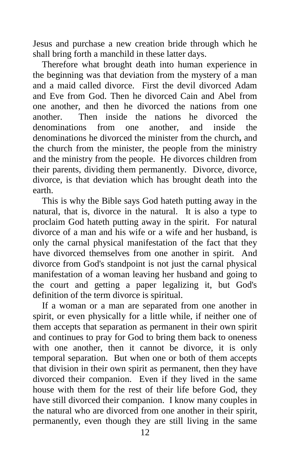Jesus and purchase a new creation bride through which he shall bring forth a manchild in these latter days.

 Therefore what brought death into human experience in the beginning was that deviation from the mystery of a man and a maid called divorce. First the devil divorced Adam and Eve from God. Then he divorced Cain and Abel from one another, and then he divorced the nations from one another. Then inside the nations he divorced the denominations from one another, and inside the denominations he divorced the minister from the church**,** and the church from the minister, the people from the ministry and the ministry from the people. He divorces children from their parents, dividing them permanently. Divorce, divorce, divorce, is that deviation which has brought death into the earth.

 This is why the Bible says God hateth putting away in the natural, that is, divorce in the natural. It is also a type to proclaim God hateth putting away in the spirit. For natural divorce of a man and his wife or a wife and her husband, is only the carnal physical manifestation of the fact that they have divorced themselves from one another in spirit. And divorce from God's standpoint is not just the carnal physical manifestation of a woman leaving her husband and going to the court and getting a paper legalizing it, but God's definition of the term divorce is spiritual.

 If a woman or a man are separated from one another in spirit, or even physically for a little while, if neither one of them accepts that separation as permanent in their own spirit and continues to pray for God to bring them back to oneness with one another, then it cannot be divorce, it is only temporal separation. But when one or both of them accepts that division in their own spirit as permanent, then they have divorced their companion. Even if they lived in the same house with them for the rest of their life before God, they have still divorced their companion. I know many couples in the natural who are divorced from one another in their spirit, permanently, even though they are still living in the same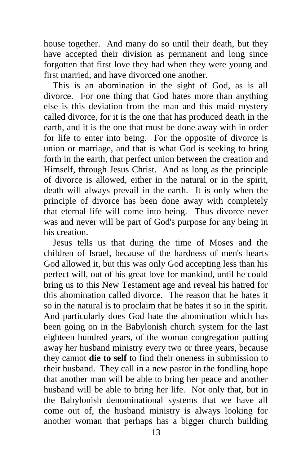house together. And many do so until their death, but they have accepted their division as permanent and long since forgotten that first love they had when they were young and first married, and have divorced one another.

 This is an abomination in the sight of God, as is all divorce. For one thing that God hates more than anything else is this deviation from the man and this maid mystery called divorce, for it is the one that has produced death in the earth, and it is the one that must be done away with in order for life to enter into being. For the opposite of divorce is union or marriage, and that is what God is seeking to bring forth in the earth, that perfect union between the creation and Himself, through Jesus Christ. And as long as the principle of divorce is allowed, either in the natural or in the spirit, death will always prevail in the earth. It is only when the principle of divorce has been done away with completely that eternal life will come into being. Thus divorce never was and never will be part of God's purpose for any being in his creation.

 Jesus tells us that during the time of Moses and the children of Israel, because of the hardness of men's hearts God allowed it, but this was only God accepting less than his perfect will, out of his great love for mankind, until he could bring us to this New Testament age and reveal his hatred for this abomination called divorce. The reason that he hates it so in the natural is to proclaim that he hates it so in the spirit. And particularly does God hate the abomination which has been going on in the Babylonish church system for the last eighteen hundred years, of the woman congregation putting away her husband ministry every two or three years, because they cannot **die to self** to find their oneness in submission to their husband. They call in a new pastor in the fondling hope that another man will be able to bring her peace and another husband will be able to bring her life. Not only that, but in the Babylonish denominational systems that we have all come out of, the husband ministry is always looking for another woman that perhaps has a bigger church building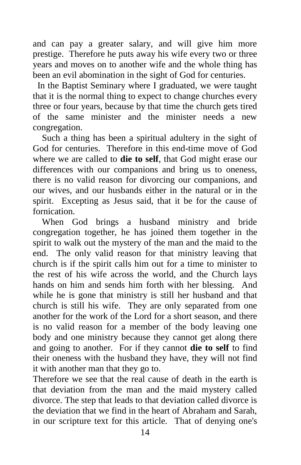and can pay a greater salary, and will give him more prestige. Therefore he puts away his wife every two or three years and moves on to another wife and the whole thing has been an evil abomination in the sight of God for centuries.

 In the Baptist Seminary where I graduated, we were taught that it is the normal thing to expect to change churches every three or four years, because by that time the church gets tired of the same minister and the minister needs a new congregation.

 Such a thing has been a spiritual adultery in the sight of God for centuries. Therefore in this end-time move of God where we are called to **die to self**, that God might erase our differences with our companions and bring us to oneness, there is no valid reason for divorcing our companions, and our wives, and our husbands either in the natural or in the spirit. Excepting as Jesus said, that it be for the cause of fornication.

 When God brings a husband ministry and bride congregation together, he has joined them together in the spirit to walk out the mystery of the man and the maid to the end. The only valid reason for that ministry leaving that church is if the spirit calls him out for a time to minister to the rest of his wife across the world, and the Church lays hands on him and sends him forth with her blessing.And while he is gone that ministry is still her husband and that church is still his wife. They are only separated from one another for the work of the Lord for a short season, and there is no valid reason for a member of the body leaving one body and one ministry because they cannot get along there and going to another. For if they cannot **die to self** to find their oneness with the husband they have, they will not find it with another man that they go to.

Therefore we see that the real cause of death in the earth is that deviation from the man and the maid mystery called divorce. The step that leads to that deviation called divorce is the deviation that we find in the heart of Abraham and Sarah, in our scripture text for this article. That of denying one's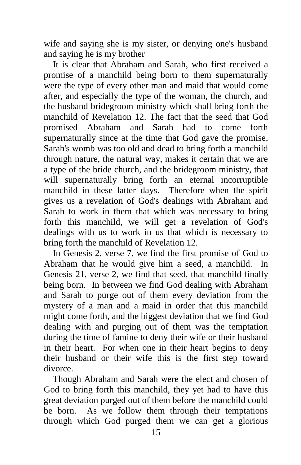wife and saying she is my sister, or denying one's husband and saying he is my brother

 It is clear that Abraham and Sarah, who first received a promise of a manchild being born to them supernaturally were the type of every other man and maid that would come after, and especially the type of the woman, the church, and the husband bridegroom ministry which shall bring forth the manchild of Revelation 12. The fact that the seed that God promised Abraham and Sarah had to come forth supernaturally since at the time that God gave the promise, Sarah's womb was too old and dead to bring forth a manchild through nature, the natural way, makes it certain that we are a type of the bride church, and the bridegroom ministry, that will supernaturally bring forth an eternal incorruptible manchild in these latter days. Therefore when the spirit gives us a revelation of God's dealings with Abraham and Sarah to work in them that which was necessary to bring forth this manchild, we will get a revelation of God's dealings with us to work in us that which is necessary to bring forth the manchild of Revelation 12.

 In Genesis 2, verse 7, we find the first promise of God to Abraham that he would give him a seed, a manchild. In Genesis 21, verse 2, we find that seed, that manchild finally being born. In between we find God dealing with Abraham and Sarah to purge out of them every deviation from the mystery of a man and a maid in order that this manchild might come forth, and the biggest deviation that we find God dealing with and purging out of them was the temptation during the time of famine to deny their wife or their husband in their heart. For when one in their heart begins to deny their husband or their wife this is the first step toward divorce.

 Though Abraham and Sarah were the elect and chosen of God to bring forth this manchild, they yet had to have this great deviation purged out of them before the manchild could be born. As we follow them through their temptations through which God purged them we can get a glorious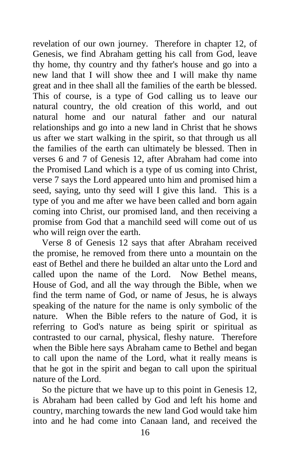revelation of our own journey. Therefore in chapter 12, of Genesis, we find Abraham getting his call from God, leave thy home, thy country and thy father's house and go into a new land that I will show thee and I will make thy name great and in thee shall all the families of the earth be blessed. This of course, is a type of God calling us to leave our natural country, the old creation of this world, and out natural home and our natural father and our natural relationships and go into a new land in Christ that he shows us after we start walking in the spirit, so that through us all the families of the earth can ultimately be blessed. Then in verses 6 and 7 of Genesis 12, after Abraham had come into the Promised Land which is a type of us coming into Christ, verse 7 says the Lord appeared unto him and promised him a seed, saying, unto thy seed will I give this land. This is a type of you and me after we have been called and born again coming into Christ, our promised land, and then receiving a promise from God that a manchild seed will come out of us who will reign over the earth.

 Verse 8 of Genesis 12 says that after Abraham received the promise, he removed from there unto a mountain on the east of Bethel and there he builded an altar unto the Lord and called upon the name of the Lord. Now Bethel means, House of God, and all the way through the Bible, when we find the term name of God, or name of Jesus, he is always speaking of the nature for the name is only symbolic of the nature. When the Bible refers to the nature of God, it is referring to God's nature as being spirit or spiritual as contrasted to our carnal, physical, fleshy nature. Therefore when the Bible here says Abraham came to Bethel and began to call upon the name of the Lord, what it really means is that he got in the spirit and began to call upon the spiritual nature of the Lord.

 So the picture that we have up to this point in Genesis 12, is Abraham had been called by God and left his home and country, marching towards the new land God would take him into and he had come into Canaan land, and received the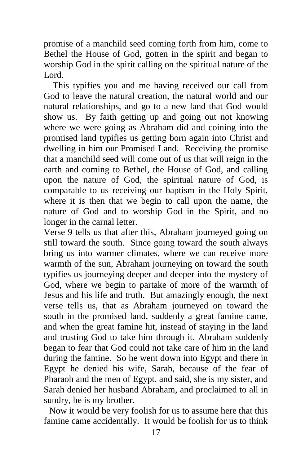promise of a manchild seed coming forth from him, come to Bethel the House of God, gotten in the spirit and began to worship God in the spirit calling on the spiritual nature of the Lord.

 This typifies you and me having received our call from God to leave the natural creation, the natural world and our natural relationships, and go to a new land that God would show us. By faith getting up and going out not knowing where we were going as Abraham did and coining into the promised land typifies us getting born again into Christ and dwelling in him our Promised Land. Receiving the promise that a manchild seed will come out of us that will reign in the earth and coming to Bethel, the House of God, and calling upon the nature of God, the spiritual nature of God, is comparable to us receiving our baptism in the Holy Spirit, where it is then that we begin to call upon the name, the nature of God and to worship God in the Spirit, and no longer in the carnal letter.

Verse 9 tells us that after this, Abraham journeyed going on still toward the south. Since going toward the south always bring us into warmer climates, where we can receive more warmth of the sun, Abraham journeying on toward the south typifies us journeying deeper and deeper into the mystery of God, where we begin to partake of more of the warmth of Jesus and his life and truth. But amazingly enough, the next verse tells us, that as Abraham journeyed on toward the south in the promised land, suddenly a great famine came, and when the great famine hit, instead of staying in the land and trusting God to take him through it, Abraham suddenly began to fear that God could not take care of him in the land during the famine. So he went down into Egypt and there in Egypt he denied his wife, Sarah, because of the fear of Pharaoh and the men of Egypt. and said, she is my sister, and Sarah denied her husband Abraham, and proclaimed to all in sundry, he is my brother.

Now it would be very foolish for us to assume here that this famine came accidentally. It would be foolish for us to think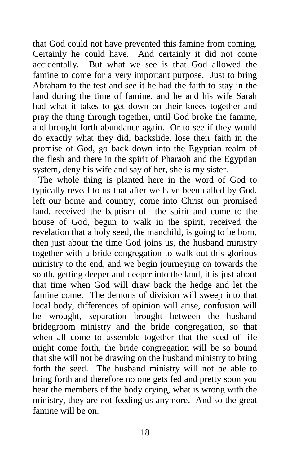that God could not have prevented this famine from coming. Certainly he could have. And certainly it did not come accidentally. But what we see is that God allowed the famine to come for a very important purpose. Just to bring Abraham to the test and see it he had the faith to stay in the land during the time of famine, and he and his wife Sarah had what it takes to get down on their knees together and pray the thing through together, until God broke the famine, and brought forth abundance again. Or to see if they would do exactly what they did, backslide, lose their faith in the promise of God, go back down into the Egyptian realm of the flesh and there in the spirit of Pharaoh and the Egyptian system, deny his wife and say of her, she is my sister.

The whole thing is planted here in the word of God to typically reveal to us that after we have been called by God, left our home and country, come into Christ our promised land, received the baptism of the spirit and come to the house of God, begun to walk in the spirit, received the revelation that a holy seed, the manchild, is going to be born, then just about the time God joins us, the husband ministry together with a bride congregation to walk out this glorious ministry to the end, and we begin journeying on towards the south, getting deeper and deeper into the land, it is just about that time when God will draw back the hedge and let the famine come. The demons of division will sweep into that local body, differences of opinion will arise, confusion will be wrought, separation brought between the husband bridegroom ministry and the bride congregation, so that when all come to assemble together that the seed of life might come forth, the bride congregation will be so bound that she will not be drawing on the husband ministry to bring forth the seed. The husband ministry will not be able to bring forth and therefore no one gets fed and pretty soon you hear the members of the body crying, what is wrong with the ministry, they are not feeding us anymore. And so the great famine will be on.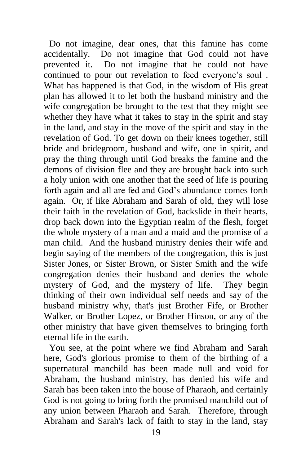Do not imagine, dear ones, that this famine has come accidentally. Do not imagine that God could not have prevented it. Do not imagine that he could not have continued to pour out revelation to feed everyone's soul . What has happened is that God, in the wisdom of His great plan has allowed it to let both the husband ministry and the wife congregation be brought to the test that they might see whether they have what it takes to stay in the spirit and stay in the land, and stay in the move of the spirit and stay in the revelation of God. To get down on their knees together, still bride and bridegroom, husband and wife, one in spirit, and pray the thing through until God breaks the famine and the demons of division flee and they are brought back into such a holy union with one another that the seed of life is pouring forth again and all are fed and God's abundance comes forth again. Or, if like Abraham and Sarah of old, they will lose their faith in the revelation of God, backslide in their hearts, drop back down into the Egyptian realm of the flesh, forget the whole mystery of a man and a maid and the promise of a man child. And the husband ministry denies their wife and begin saying of the members of the congregation, this is just Sister Jones, or Sister Brown, or Sister Smith and the wife congregation denies their husband and denies the whole mystery of God, and the mystery of life. They begin thinking of their own individual self needs and say of the husband ministry why, that's just Brother Fife, or Brother Walker, or Brother Lopez, or Brother Hinson, or any of the other ministry that have given themselves to bringing forth eternal life in the earth.

You see, at the point where we find Abraham and Sarah here, God's glorious promise to them of the birthing of a supernatural manchild has been made null and void for Abraham, the husband ministry, has denied his wife and Sarah has been taken into the house of Pharaoh, and certainly God is not going to bring forth the promised manchild out of any union between Pharaoh and Sarah. Therefore, through Abraham and Sarah's lack of faith to stay in the land, stay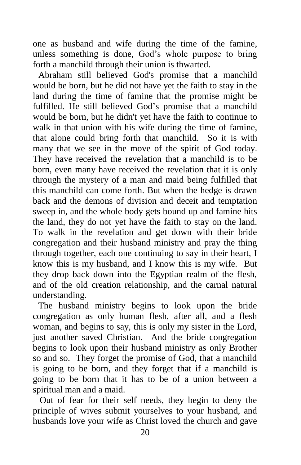one as husband and wife during the time of the famine, unless something is done, God's whole purpose to bring forth a manchild through their union is thwarted.

Abraham still believed God's promise that a manchild would be born, but he did not have yet the faith to stay in the land during the time of famine that the promise might be fulfilled. He still believed God's promise that a manchild would be born, but he didn't yet have the faith to continue to walk in that union with his wife during the time of famine, that alone could bring forth that manchild. So it is with many that we see in the move of the spirit of God today. They have received the revelation that a manchild is to be born, even many have received the revelation that it is only through the mystery of a man and maid being fulfilled that this manchild can come forth. But when the hedge is drawn back and the demons of division and deceit and temptation sweep in, and the whole body gets bound up and famine hits the land, they do not yet have the faith to stay on the land. To walk in the revelation and get down with their bride congregation and their husband ministry and pray the thing through together, each one continuing to say in their heart, I know this is my husband, and I know this is my wife. But they drop back down into the Egyptian realm of the flesh, and of the old creation relationship, and the carnal natural understanding.

The husband ministry begins to look upon the bride congregation as only human flesh, after all, and a flesh woman, and begins to say, this is only my sister in the Lord, just another saved Christian. And the bride congregation begins to look upon their husband ministry as only Brother so and so. They forget the promise of God, that a manchild is going to be born, and they forget that if a manchild is going to be born that it has to be of a union between a spiritual man and a maid.

 Out of fear for their self needs, they begin to deny the principle of wives submit yourselves to your husband, and husbands love your wife as Christ loved the church and gave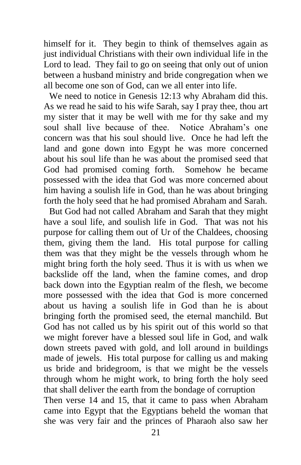himself for it. They begin to think of themselves again as just individual Christians with their own individual life in the Lord to lead. They fail to go on seeing that only out of union between a husband ministry and bride congregation when we all become one son of God, can we all enter into life.

We need to notice in Genesis 12:13 why Abraham did this. As we read he said to his wife Sarah, say I pray thee, thou art my sister that it may be well with me for thy sake and my soul shall live because of thee. Notice Abraham's one concern was that his soul should live. Once he had left the land and gone down into Egypt he was more concerned about his soul life than he was about the promised seed that God had promised coming forth. Somehow he became possessed with the idea that God was more concerned about him having a soulish life in God, than he was about bringing forth the holy seed that he had promised Abraham and Sarah.

But God had not called Abraham and Sarah that they might have a soul life, and soulish life in God. That was not his purpose for calling them out of Ur of the Chaldees, choosing them, giving them the land. His total purpose for calling them was that they might be the vessels through whom he might bring forth the holy seed. Thus it is with us when we backslide off the land, when the famine comes, and drop back down into the Egyptian realm of the flesh, we become more possessed with the idea that God is more concerned about us having a soulish life in God than he is about bringing forth the promised seed, the eternal manchild. But God has not called us by his spirit out of this world so that we might forever have a blessed soul life in God, and walk down streets paved with gold, and loll around in buildings made of jewels. His total purpose for calling us and making us bride and bridegroom, is that we might be the vessels through whom he might work, to bring forth the holy seed that shall deliver the earth from the bondage of corruption Then verse 14 and 15, that it came to pass when Abraham came into Egypt that the Egyptians beheld the woman that she was very fair and the princes of Pharaoh also saw her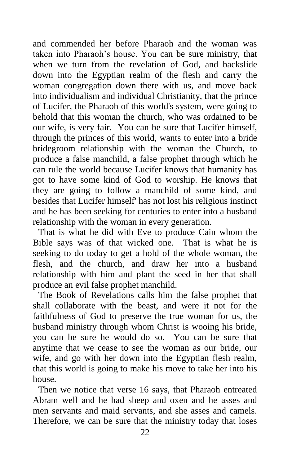and commended her before Pharaoh and the woman was taken into Pharaoh's house. You can be sure ministry, that when we turn from the revelation of God, and backslide down into the Egyptian realm of the flesh and carry the woman congregation down there with us, and move back into individualism and individual Christianity, that the prince of Lucifer, the Pharaoh of this world's system, were going to behold that this woman the church, who was ordained to be our wife, is very fair. You can be sure that Lucifer himself, through the princes of this world, wants to enter into a bride bridegroom relationship with the woman the Church, to produce a false manchild, a false prophet through which he can rule the world because Lucifer knows that humanity has got to have some kind of God to worship. He knows that they are going to follow a manchild of some kind, and besides that Lucifer himself' has not lost his religious instinct and he has been seeking for centuries to enter into a husband relationship with the woman in every generation.

That is what he did with Eve to produce Cain whom the Bible says was of that wicked one. That is what he is seeking to do today to get a hold of the whole woman, the flesh, and the church, and draw her into a husband relationship with him and plant the seed in her that shall produce an evil false prophet manchild.

The Book of Revelations calls him the false prophet that shall collaborate with the beast, and were it not for the faithfulness of God to preserve the true woman for us, the husband ministry through whom Christ is wooing his bride, you can be sure he would do so. You can be sure that anytime that we cease to see the woman as our bride, our wife, and go with her down into the Egyptian flesh realm, that this world is going to make his move to take her into his house.

Then we notice that verse 16 says, that Pharaoh entreated Abram well and he had sheep and oxen and he asses and men servants and maid servants, and she asses and camels. Therefore, we can be sure that the ministry today that loses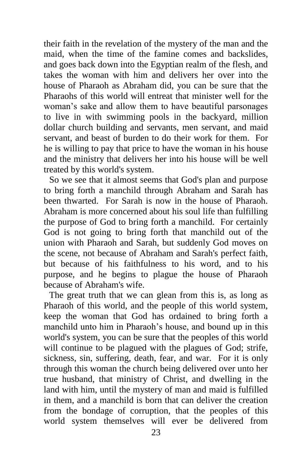their faith in the revelation of the mystery of the man and the maid, when the time of the famine comes and backslides, and goes back down into the Egyptian realm of the flesh, and takes the woman with him and delivers her over into the house of Pharaoh as Abraham did, you can be sure that the Pharaohs of this world will entreat that minister well for the woman's sake and allow them to have beautiful parsonages to live in with swimming pools in the backyard, million dollar church building and servants, men servant, and maid servant, and beast of burden to do their work for them. For he is willing to pay that price to have the woman in his house and the ministry that delivers her into his house will be well treated by this world's system.

So we see that it almost seems that God's plan and purpose to bring forth a manchild through Abraham and Sarah has been thwarted. For Sarah is now in the house of Pharaoh. Abraham is more concerned about his soul life than fulfilling the purpose of God to bring forth a manchild. For certainly God is not going to bring forth that manchild out of the union with Pharaoh and Sarah, but suddenly God moves on the scene, not because of Abraham and Sarah's perfect faith, but because of his faithfulness to his word, and to his purpose, and he begins to plague the house of Pharaoh because of Abraham's wife.

The great truth that we can glean from this is, as long as Pharaoh of this world, and the people of this world system, keep the woman that God has ordained to bring forth a manchild unto him in Pharaoh's house, and bound up in this world's system, you can be sure that the peoples of this world will continue to be plagued with the plagues of God; strife, sickness, sin, suffering, death, fear, and war. For it is only through this woman the church being delivered over unto her true husband, that ministry of Christ, and dwelling in the land with him, until the mystery of man and maid is fulfilled in them, and a manchild is born that can deliver the creation from the bondage of corruption, that the peoples of this world system themselves will ever be delivered from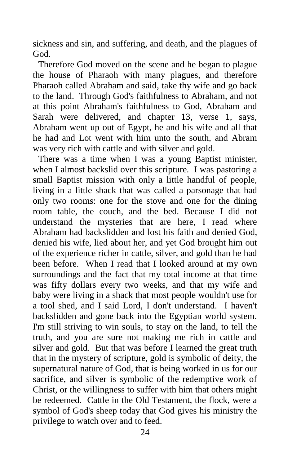sickness and sin, and suffering, and death, and the plagues of God.

Therefore God moved on the scene and he began to plague the house of Pharaoh with many plagues, and therefore Pharaoh called Abraham and said, take thy wife and go back to the land. Through God's faithfulness to Abraham, and not at this point Abraham's faithfulness to God, Abraham and Sarah were delivered, and chapter 13, verse 1, says, Abraham went up out of Egypt, he and his wife and all that he had and Lot went with him unto the south, and Abram was very rich with cattle and with silver and gold.

There was a time when I was a young Baptist minister, when I almost backslid over this scripture. I was pastoring a small Baptist mission with only a little handful of people, living in a little shack that was called a parsonage that had only two rooms: one for the stove and one for the dining room table, the couch, and the bed. Because I did not understand the mysteries that are here, I read where Abraham had backslidden and lost his faith and denied God, denied his wife, lied about her, and yet God brought him out of the experience richer in cattle, silver, and gold than he had been before. When I read that I looked around at my own surroundings and the fact that my total income at that time was fifty dollars every two weeks, and that my wife and baby were living in a shack that most people wouldn't use for a tool shed, and I said Lord, I don't understand. I haven't backslidden and gone back into the Egyptian world system. I'm still striving to win souls, to stay on the land, to tell the truth, and you are sure not making me rich in cattle and silver and gold. But that was before I learned the great truth that in the mystery of scripture, gold is symbolic of deity, the supernatural nature of God, that is being worked in us for our sacrifice, and silver is symbolic of the redemptive work of Christ, or the willingness to suffer with him that others might be redeemed. Cattle in the Old Testament, the flock, were a symbol of God's sheep today that God gives his ministry the privilege to watch over and to feed.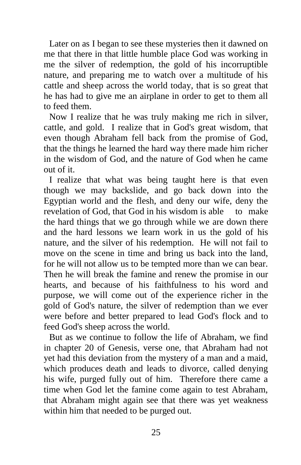Later on as I began to see these mysteries then it dawned on me that there in that little humble place God was working in me the silver of redemption, the gold of his incorruptible nature, and preparing me to watch over a multitude of his cattle and sheep across the world today, that is so great that he has had to give me an airplane in order to get to them all to feed them.

Now I realize that he was truly making me rich in silver, cattle, and gold. I realize that in God's great wisdom, that even though Abraham fell back from the promise of God, that the things he learned the hard way there made him richer in the wisdom of God, and the nature of God when he came out of it.

I realize that what was being taught here is that even though we may backslide, and go back down into the Egyptian world and the flesh, and deny our wife, deny the revelation of God, that God in his wisdom is able to make the hard things that we go through while we are down there and the hard lessons we learn work in us the gold of his nature, and the silver of his redemption. He will not fail to move on the scene in time and bring us back into the land, for he will not allow us to be tempted more than we can bear. Then he will break the famine and renew the promise in our hearts, and because of his faithfulness to his word and purpose, we will come out of the experience richer in the gold of God's nature, the silver of redemption than we ever were before and better prepared to lead God's flock and to feed God's sheep across the world.

But as we continue to follow the life of Abraham, we find in chapter 20 of Genesis, verse one, that Abraham had not yet had this deviation from the mystery of a man and a maid, which produces death and leads to divorce, called denying his wife, purged fully out of him. Therefore there came a time when God let the famine come again to test Abraham, that Abraham might again see that there was yet weakness within him that needed to be purged out.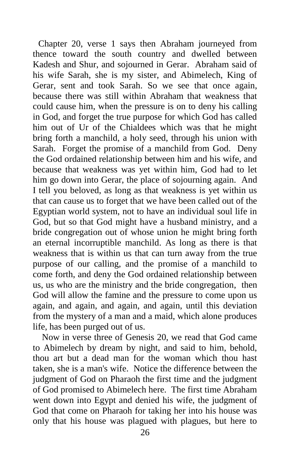Chapter 20, verse 1 says then Abraham journeyed from thence toward the south country and dwelled between Kadesh and Shur, and sojourned in Gerar. Abraham said of his wife Sarah, she is my sister, and Abimelech, King of Gerar, sent and took Sarah. So we see that once again, because there was still within Abraham that weakness that could cause him, when the pressure is on to deny his calling in God, and forget the true purpose for which God has called him out of Ur of the Chialdees which was that he might bring forth a manchild, a holy seed, through his union with Sarah. Forget the promise of a manchild from God. Deny the God ordained relationship between him and his wife, and because that weakness was yet within him, God had to let him go down into Gerar, the place of sojourning again. And I tell you beloved, as long as that weakness is yet within us that can cause us to forget that we have been called out of the Egyptian world system, not to have an individual soul life in God, but so that God might have a husband ministry, and a bride congregation out of whose union he might bring forth an eternal incorruptible manchild. As long as there is that weakness that is within us that can turn away from the true purpose of our calling, and the promise of a manchild to come forth, and deny the God ordained relationship between us, us who are the ministry and the bride congregation, then God will allow the famine and the pressure to come upon us again, and again, and again, and again, until this deviation from the mystery of a man and a maid, which alone produces life, has been purged out of us.

 Now in verse three of Genesis 20, we read that God came to Abimelech by dream by night, and said to him, behold, thou art but a dead man for the woman which thou hast taken, she is a man's wife. Notice the difference between the judgment of God on Pharaoh the first time and the judgment of God promised to Abimelech here. The first time Abraham went down into Egypt and denied his wife, the judgment of God that come on Pharaoh for taking her into his house was only that his house was plagued with plagues, but here to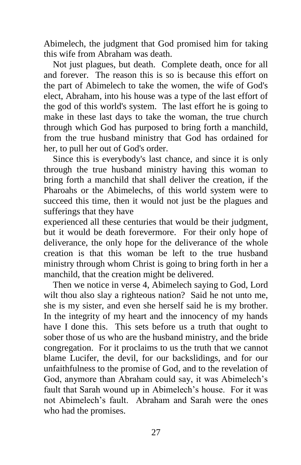Abimelech, the judgment that God promised him for taking this wife from Abraham was death.

 Not just plagues, but death. Complete death, once for all and forever. The reason this is so is because this effort on the part of Abimelech to take the women, the wife of God's elect, Abraham, into his house was a type of the last effort of the god of this world's system. The last effort he is going to make in these last days to take the woman, the true church through which God has purposed to bring forth a manchild, from the true husband ministry that God has ordained for her, to pull her out of God's order.

 Since this is everybody's last chance, and since it is only through the true husband ministry having this woman to bring forth a manchild that shall deliver the creation, if the Pharoahs or the Abimelechs, of this world system were to succeed this time, then it would not just be the plagues and sufferings that they have

experienced all these centuries that would be their judgment, but it would be death forevermore. For their only hope of deliverance, the only hope for the deliverance of the whole creation is that this woman be left to the true husband ministry through whom Christ is going to bring forth in her a manchild, that the creation might be delivered.

 Then we notice in verse 4, Abimelech saying to God, Lord wilt thou also slay a righteous nation? Said he not unto me, she is my sister, and even she herself said he is my brother. In the integrity of my heart and the innocency of my hands have I done this. This sets before us a truth that ought to sober those of us who are the husband ministry, and the bride congregation. For it proclaims to us the truth that we cannot blame Lucifer, the devil, for our backslidings, and for our unfaithfulness to the promise of God, and to the revelation of God, anymore than Abraham could say, it was Abimelech's fault that Sarah wound up in Abimelech's house. For it was not Abimelech's fault. Abraham and Sarah were the ones who had the promises.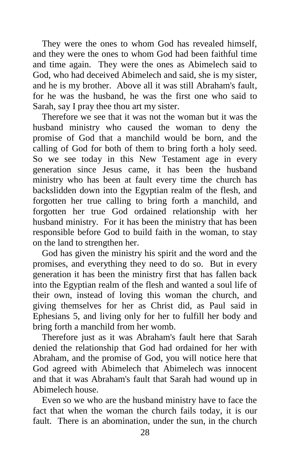They were the ones to whom God has revealed himself, and they were the ones to whom God had been faithful time and time again. They were the ones as Abimelech said to God, who had deceived Abimelech and said, she is my sister, and he is my brother. Above all it was still Abraham's fault, for he was the husband, he was the first one who said to Sarah, say I pray thee thou art my sister.

 Therefore we see that it was not the woman but it was the husband ministry who caused the woman to deny the promise of God that a manchild would be born, and the calling of God for both of them to bring forth a holy seed. So we see today in this New Testament age in every generation since Jesus came, it has been the husband ministry who has been at fault every time the church has backslidden down into the Egyptian realm of the flesh, and forgotten her true calling to bring forth a manchild, and forgotten her true God ordained relationship with her husband ministry. For it has been the ministry that has been responsible before God to build faith in the woman, to stay on the land to strengthen her.

 God has given the ministry his spirit and the word and the promises, and everything they need to do so. But in every generation it has been the ministry first that has fallen back into the Egyptian realm of the flesh and wanted a soul life of their own, instead of loving this woman the church, and giving themselves for her as Christ did, as Paul said in Ephesians 5, and living only for her to fulfill her body and bring forth a manchild from her womb.

 Therefore just as it was Abraham's fault here that Sarah denied the relationship that God had ordained for her with Abraham, and the promise of God, you will notice here that God agreed with Abimelech that Abimelech was innocent and that it was Abraham's fault that Sarah had wound up in Abimelech house.

 Even so we who are the husband ministry have to face the fact that when the woman the church fails today, it is our fault. There is an abomination, under the sun, in the church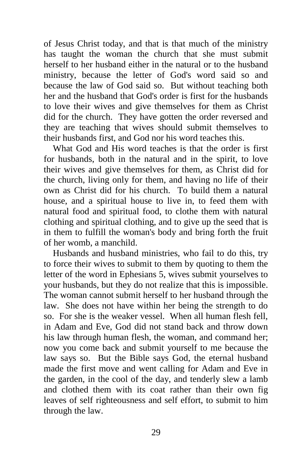of Jesus Christ today, and that is that much of the ministry has taught the woman the church that she must submit herself to her husband either in the natural or to the husband ministry, because the letter of God's word said so and because the law of God said so. But without teaching both her and the husband that God's order is first for the husbands to love their wives and give themselves for them as Christ did for the church. They have gotten the order reversed and they are teaching that wives should submit themselves to their husbands first, and God nor his word teaches this.

 What God and His word teaches is that the order is first for husbands, both in the natural and in the spirit, to love their wives and give themselves for them, as Christ did for the church, living only for them, and having no life of their own as Christ did for his church. To build them a natural house, and a spiritual house to live in, to feed them with natural food and spiritual food, to clothe them with natural clothing and spiritual clothing, and to give up the seed that is in them to fulfill the woman's body and bring forth the fruit of her womb, a manchild.

 Husbands and husband ministries, who fail to do this, try to force their wives to submit to them by quoting to them the letter of the word in Ephesians 5, wives submit yourselves to your husbands, but they do not realize that this is impossible. The woman cannot submit herself to her husband through the law. She does not have within her being the strength to do so. For she is the weaker vessel. When all human flesh fell, in Adam and Eve, God did not stand back and throw down his law through human flesh, the woman, and command her; now you come back and submit yourself to me because the law says so. But the Bible says God, the eternal husband made the first move and went calling for Adam and Eve in the garden, in the cool of the day, and tenderly slew a lamb and clothed them with its coat rather than their own fig leaves of self righteousness and self effort, to submit to him through the law.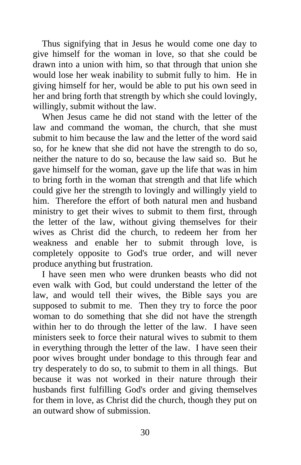Thus signifying that in Jesus he would come one day to give himself for the woman in love, so that she could be drawn into a union with him, so that through that union she would lose her weak inability to submit fully to him. He in giving himself for her, would be able to put his own seed in her and bring forth that strength by which she could lovingly, willingly, submit without the law.

 When Jesus came he did not stand with the letter of the law and command the woman, the church, that she must submit to him because the law and the letter of the word said so, for he knew that she did not have the strength to do so, neither the nature to do so, because the law said so. But he gave himself for the woman, gave up the life that was in him to bring forth in the woman that strength and that life which could give her the strength to lovingly and willingly yield to him. Therefore the effort of both natural men and husband ministry to get their wives to submit to them first, through the letter of the law, without giving themselves for their wives as Christ did the church, to redeem her from her weakness and enable her to submit through love, is completely opposite to God's true order, and will never produce anything but frustration.

 I have seen men who were drunken beasts who did not even walk with God, but could understand the letter of the law, and would tell their wives, the Bible says you are supposed to submit to me. Then they try to force the poor woman to do something that she did not have the strength within her to do through the letter of the law. I have seen ministers seek to force their natural wives to submit to them in everything through the letter of the law. I have seen their poor wives brought under bondage to this through fear and try desperately to do so, to submit to them in all things. But because it was not worked in their nature through their husbands first fulfilling God's order and giving themselves for them in love, as Christ did the church, though they put on an outward show of submission.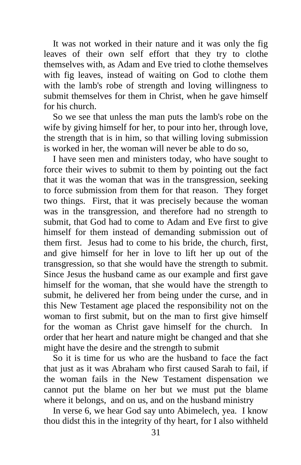It was not worked in their nature and it was only the fig leaves of their own self effort that they try to clothe themselves with, as Adam and Eve tried to clothe themselves with fig leaves, instead of waiting on God to clothe them with the lamb's robe of strength and loving willingness to submit themselves for them in Christ, when he gave himself for his church.

 So we see that unless the man puts the lamb's robe on the wife by giving himself for her, to pour into her, through love, the strength that is in him, so that willing loving submission is worked in her, the woman will never be able to do so,

 I have seen men and ministers today, who have sought to force their wives to submit to them by pointing out the fact that it was the woman that was in the transgression, seeking to force submission from them for that reason. They forget two things. First, that it was precisely because the woman was in the transgression, and therefore had no strength to submit, that God had to come to Adam and Eve first to give himself for them instead of demanding submission out of them first. Jesus had to come to his bride, the church, first, and give himself for her in love to lift her up out of the transgression, so that she would have the strength to submit. Since Jesus the husband came as our example and first gave himself for the woman, that she would have the strength to submit, he delivered her from being under the curse, and in this New Testament age placed the responsibility not on the woman to first submit, but on the man to first give himself for the woman as Christ gave himself for the church. In order that her heart and nature might be changed and that she might have the desire and the strength to submit

 So it is time for us who are the husband to face the fact that just as it was Abraham who first caused Sarah to fail, if the woman fails in the New Testament dispensation we cannot put the blame on her but we must put the blame where it belongs, and on us, and on the husband ministry

 In verse 6, we hear God say unto Abimelech, yea. I know thou didst this in the integrity of thy heart, for I also withheld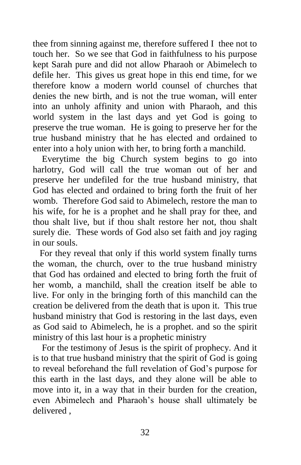thee from sinning against me, therefore suffered I thee not to touch her. So we see that God in faithfulness to his purpose kept Sarah pure and did not allow Pharaoh or Abimelech to defile her. This gives us great hope in this end time, for we therefore know a modern world counsel of churches that denies the new birth, and is not the true woman, will enter into an unholy affinity and union with Pharaoh, and this world system in the last days and yet God is going to preserve the true woman. He is going to preserve her for the true husband ministry that he has elected and ordained to enter into a holy union with her, to bring forth a manchild.

 Everytime the big Church system begins to go into harlotry, God will call the true woman out of her and preserve her undefiled for the true husband ministry, that God has elected and ordained to bring forth the fruit of her womb. Therefore God said to Abimelech, restore the man to his wife, for he is a prophet and he shall pray for thee, and thou shalt live, but if thou shalt restore her not, thou shalt surely die. These words of God also set faith and joy raging in our souls.

 For they reveal that only if this world system finally turns the woman, the church, over to the true husband ministry that God has ordained and elected to bring forth the fruit of her womb, a manchild, shall the creation itself be able to live. For only in the bringing forth of this manchild can the creation be delivered from the death that is upon it. This true husband ministry that God is restoring in the last days, even as God said to Abimelech, he is a prophet. and so the spirit ministry of this last hour is a prophetic ministry

 For the testimony of Jesus is the spirit of prophecy. And it is to that true husband ministry that the spirit of God is going to reveal beforehand the full revelation of God's purpose for this earth in the last days, and they alone will be able to move into it, in a way that in their burden for the creation, even Abimelech and Pharaoh's house shall ultimately be delivered ,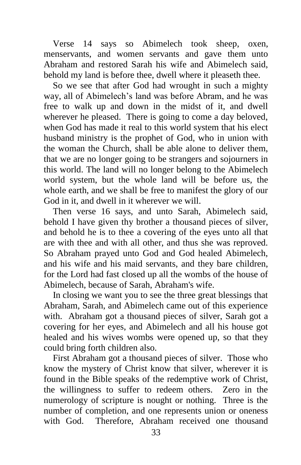Verse 14 says so Abimelech took sheep, oxen, menservants, and women servants and gave them unto Abraham and restored Sarah his wife and Abimelech said, behold my land is before thee, dwell where it pleaseth thee.

 So we see that after God had wrought in such a mighty way, all of Abimelech's land was before Abram, and he was free to walk up and down in the midst of it, and dwell wherever he pleased. There is going to come a day beloved, when God has made it real to this world system that his elect husband ministry is the prophet of God, who in union with the woman the Church, shall be able alone to deliver them, that we are no longer going to be strangers and sojourners in this world. The land will no longer belong to the Abimelech world system, but the whole land will be before us, the whole earth, and we shall be free to manifest the glory of our God in it, and dwell in it wherever we will.

 Then verse 16 says, and unto Sarah, Abimelech said, behold I have given thy brother a thousand pieces of silver, and behold he is to thee a covering of the eyes unto all that are with thee and with all other, and thus she was reproved. So Abraham prayed unto God and God healed Abimelech, and his wife and his maid servants, and they bare children, for the Lord had fast closed up all the wombs of the house of Abimelech, because of Sarah, Abraham's wife.

 In closing we want you to see the three great blessings that Abraham, Sarah, and Abimelech came out of this experience with. Abraham got a thousand pieces of silver, Sarah got a covering for her eyes, and Abimelech and all his house got healed and his wives wombs were opened up, so that they could bring forth children also.

 First Abraham got a thousand pieces of silver. Those who know the mystery of Christ know that silver, wherever it is found in the Bible speaks of the redemptive work of Christ, the willingness to suffer to redeem others. Zero in the numerology of scripture is nought or nothing. Three is the number of completion, and one represents union or oneness with God. Therefore, Abraham received one thousand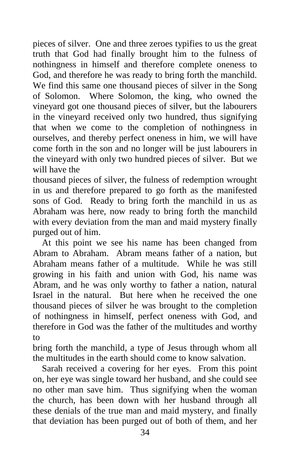pieces of silver. One and three zeroes typifies to us the great truth that God had finally brought him to the fulness of nothingness in himself and therefore complete oneness to God, and therefore he was ready to bring forth the manchild. We find this same one thousand pieces of silver in the Song of Solomon. Where Solomon, the king, who owned the vineyard got one thousand pieces of silver, but the labourers in the vineyard received only two hundred, thus signifying that when we come to the completion of nothingness in ourselves, and thereby perfect oneness in him, we will have come forth in the son and no longer will be just labourers in the vineyard with only two hundred pieces of silver. But we will have the

thousand pieces of silver, the fulness of redemption wrought in us and therefore prepared to go forth as the manifested sons of God. Ready to bring forth the manchild in us as Abraham was here, now ready to bring forth the manchild with every deviation from the man and maid mystery finally purged out of him.

 At this point we see his name has been changed from Abram to Abraham. Abram means father of a nation, but Abraham means father of a multitude. While he was still growing in his faith and union with God, his name was Abram, and he was only worthy to father a nation, natural Israel in the natural. But here when he received the one thousand pieces of silver he was brought to the completion of nothingness in himself, perfect oneness with God, and therefore in God was the father of the multitudes and worthy to

bring forth the manchild, a type of Jesus through whom all the multitudes in the earth should come to know salvation.

 Sarah received a covering for her eyes. From this point on, her eye was single toward her husband, and she could see no other man save him. Thus signifying when the woman the church, has been down with her husband through all these denials of the true man and maid mystery, and finally that deviation has been purged out of both of them, and her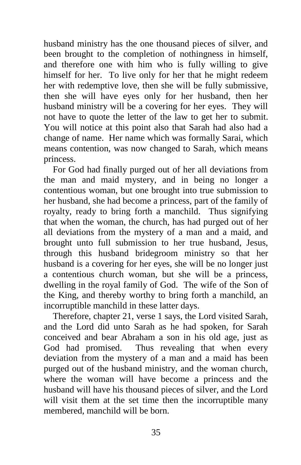husband ministry has the one thousand pieces of silver, and been brought to the completion of nothingness in himself, and therefore one with him who is fully willing to give himself for her. To live only for her that he might redeem her with redemptive love, then she will be fully submissive, then she will have eyes only for her husband, then her husband ministry will be a covering for her eyes. They will not have to quote the letter of the law to get her to submit. You will notice at this point also that Sarah had also had a change of name. Her name which was formally Sarai, which means contention, was now changed to Sarah, which means princess.

 For God had finally purged out of her all deviations from the man and maid mystery, and in being no longer a contentious woman, but one brought into true submission to her husband, she had become a princess, part of the family of royalty, ready to bring forth a manchild. Thus signifying that when the woman, the church, has had purged out of her all deviations from the mystery of a man and a maid, and brought unto full submission to her true husband, Jesus, through this husband bridegroom ministry so that her husband is a covering for her eyes, she will be no longer just a contentious church woman, but she will be a princess, dwelling in the royal family of God. The wife of the Son of the King, and thereby worthy to bring forth a manchild, an incorruptible manchild in these latter days.

 Therefore, chapter 21, verse 1 says, the Lord visited Sarah, and the Lord did unto Sarah as he had spoken, for Sarah conceived and bear Abraham a son in his old age, just as God had promised. Thus revealing that when every deviation from the mystery of a man and a maid has been purged out of the husband ministry, and the woman church, where the woman will have become a princess and the husband will have his thousand pieces of silver, and the Lord will visit them at the set time then the incorruptible many membered, manchild will be born.